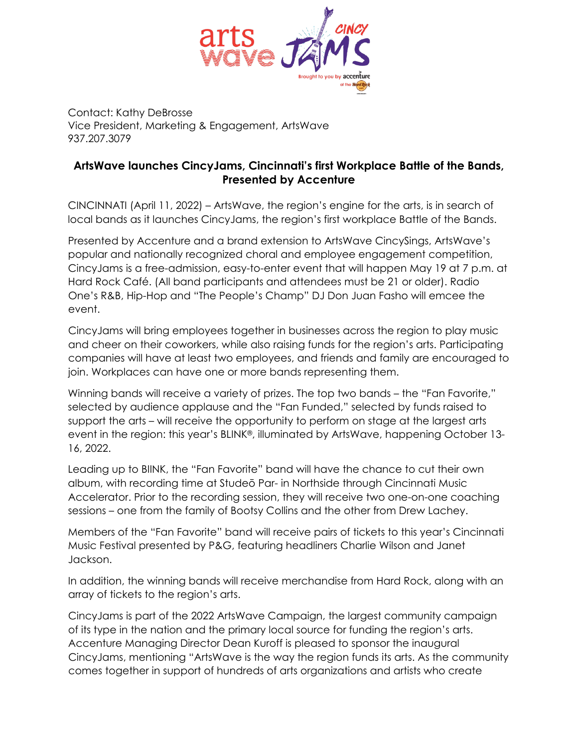

Contact: Kathy DeBrosse Vice President, Marketing & Engagement, ArtsWave 937.207.3079

## **ArtsWave launches CincyJams, Cincinnati's first Workplace Battle of the Bands, Presented by Accenture**

CINCINNATI (April 11, 2022) – ArtsWave, the region's engine for the arts, is in search of local bands as it launches CincyJams, the region's first workplace Battle of the Bands.

Presented by Accenture and a brand extension to ArtsWave CincySings, ArtsWave's popular and nationally recognized choral and employee engagement competition, CincyJams is a free-admission, easy-to-enter event that will happen May 19 at 7 p.m. at Hard Rock Café. (All band participants and attendees must be 21 or older). Radio One's R&B, Hip-Hop and "The People's Champ" DJ Don Juan Fasho will emcee the event.

CincyJams will bring employees together in businesses across the region to play music and cheer on their coworkers, while also raising funds for the region's arts. Participating companies will have at least two employees, and friends and family are encouraged to join. Workplaces can have one or more bands representing them.

Winning bands will receive a variety of prizes. The top two bands – the "Fan Favorite," selected by audience applause and the "Fan Funded," selected by funds raised to support the arts – will receive the opportunity to perform on stage at the largest arts event in the region: this year's BLINK®, illuminated by ArtsWave, happening October 13- 16, 2022.

Leading up to BIINK, the "Fan Favorite" band will have the chance to cut their own album, with recording time at Studeō Par- in Northside through Cincinnati Music Accelerator. Prior to the recording session, they will receive two one-on-one coaching sessions – one from the family of Bootsy Collins and the other from Drew Lachey.

Members of the "Fan Favorite" band will receive pairs of tickets to this year's Cincinnati Music Festival presented by P&G, featuring headliners Charlie Wilson and Janet Jackson.

In addition, the winning bands will receive merchandise from Hard Rock, along with an array of tickets to the region's arts.

CincyJams is part of the 2022 ArtsWave Campaign, the largest community campaign of its type in the nation and the primary local source for funding the region's arts. Accenture Managing Director Dean Kuroff is pleased to sponsor the inaugural CincyJams, mentioning "ArtsWave is the way the region funds its arts. As the community comes together in support of hundreds of arts organizations and artists who create